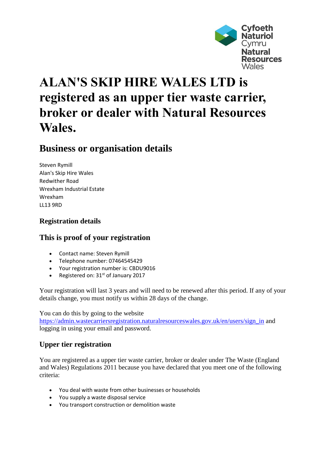

# **ALAN'S SKIP HIRE WALES LTD is registered as an upper tier waste carrier, broker or dealer with Natural Resources Wales.**

## **Business or organisation details**

Steven Rymill Alan's Skip Hire Wales Redwither Road Wrexham Industrial Estate Wrexham LL13 9RD

### **Registration details**

#### **This is proof of your registration**

- Contact name: Steven Rymill
- Telephone number: 07464545429
- Your registration number is: CBDU9016
- Registered on:  $31<sup>st</sup>$  of January 2017

Your registration will last 3 years and will need to be renewed after this period. If any of your details change, you must notify us within 28 days of the change.

You can do this by going to the website

[https://admin.wastecarriersregistration.naturalresourceswales.gov.uk/en/users/sign\\_in](https://admin.wastecarriersregistration.naturalresourceswales.gov.uk/en/users/sign_in) and logging in using your email and password.

#### **Upper tier registration**

You are registered as a upper tier waste carrier, broker or dealer under The Waste (England and Wales) Regulations 2011 because you have declared that you meet one of the following criteria:

- You deal with waste from other businesses or households
- You supply a waste disposal service
- You transport construction or demolition waste